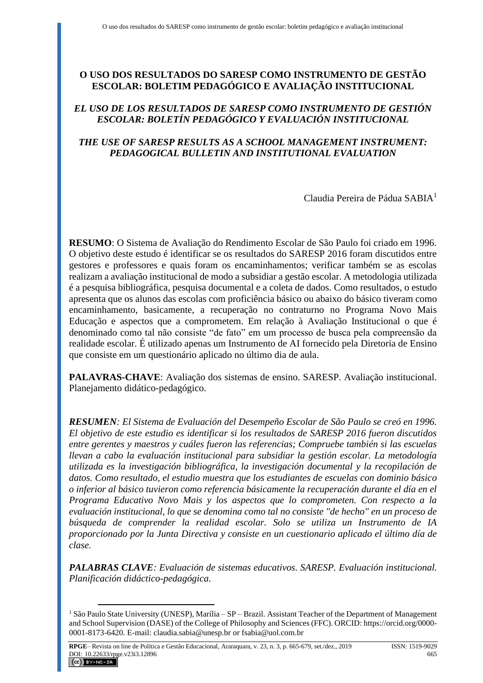# **O USO DOS RESULTADOS DO SARESP COMO INSTRUMENTO DE GESTÃO ESCOLAR: BOLETIM PEDAGÓGICO E AVALIAÇÃO INSTITUCIONAL**

## *EL USO DE LOS RESULTADOS DE SARESP COMO INSTRUMENTO DE GESTIÓN ESCOLAR: BOLETÍN PEDAGÓGICO Y EVALUACIÓN INSTITUCIONAL*

## *THE USE OF SARESP RESULTS AS A SCHOOL MANAGEMENT INSTRUMENT: PEDAGOGICAL BULLETIN AND INSTITUTIONAL EVALUATION*

Claudia Pereira de Pádua SABIA<sup>1</sup>

**RESUMO**: O Sistema de Avaliação do Rendimento Escolar de São Paulo foi criado em 1996. O objetivo deste estudo é identificar se os resultados do SARESP 2016 foram discutidos entre gestores e professores e quais foram os encaminhamentos; verificar também se as escolas realizam a avaliação institucional de modo a subsidiar a gestão escolar. A metodologia utilizada é a pesquisa bibliográfica, pesquisa documental e a coleta de dados. Como resultados, o estudo apresenta que os alunos das escolas com proficiência básico ou abaixo do básico tiveram como encaminhamento, basicamente, a recuperação no contraturno no Programa Novo Mais Educação e aspectos que a comprometem. Em relação à Avaliação Institucional o que é denominado como tal não consiste "de fato" em um processo de busca pela compreensão da realidade escolar. É utilizado apenas um Instrumento de AI fornecido pela Diretoria de Ensino que consiste em um questionário aplicado no último dia de aula.

**PALAVRAS-CHAVE**: Avaliação dos sistemas de ensino. SARESP. Avaliação institucional. Planejamento didático-pedagógico.

*RESUMEN: El Sistema de Evaluación del Desempeño Escolar de São Paulo se creó en 1996. El objetivo de este estudio es identificar si los resultados de SARESP 2016 fueron discutidos entre gerentes y maestros y cuáles fueron las referencias; Compruebe también si las escuelas llevan a cabo la evaluación institucional para subsidiar la gestión escolar. La metodología utilizada es la investigación bibliográfica, la investigación documental y la recopilación de datos. Como resultado, el estudio muestra que los estudiantes de escuelas con dominio básico o inferior al básico tuvieron como referencia básicamente la recuperación durante el día en el Programa Educativo Novo Mais y los aspectos que lo comprometen. Con respecto a la evaluación institucional, lo que se denomina como tal no consiste "de hecho" en un proceso de búsqueda de comprender la realidad escolar. Solo se utiliza un Instrumento de IA proporcionado por la Junta Directiva y consiste en un cuestionario aplicado el último día de clase.*

*PALABRAS CLAVE: Evaluación de sistemas educativos. SARESP. Evaluación institucional. Planificación didáctico-pedagógica.*

<sup>&</sup>lt;sup>1</sup> São Paulo State University (UNESP), Marília – SP – Brazil. Assistant Teacher of the Department of Management and School Supervision (DASE) of the College of Philosophy and Sciences (FFC). ORCID[: https://orcid.org/0000-](https://orcid.org/0000-0001-8173-6420) [0001-8173-6420.](https://orcid.org/0000-0001-8173-6420) E-mail: [claudia.sabia@unesp.br](mailto:claudia.sabia@unesp.br) or [fsabia@uol.com.br](mailto:fsabia@uol.com.br)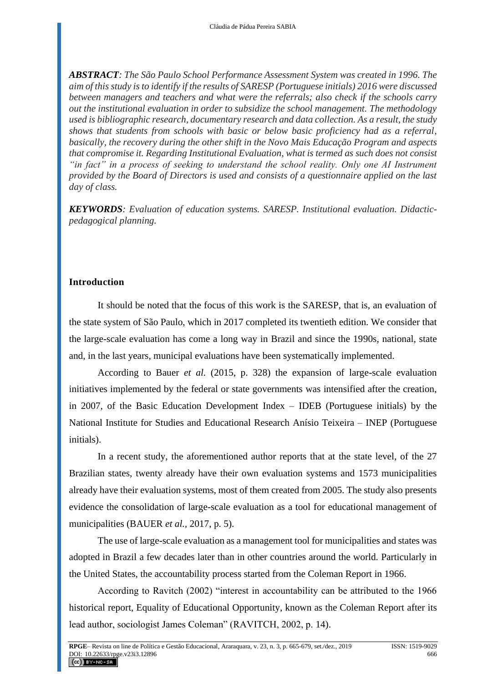*ABSTRACT: The São Paulo School Performance Assessment System was created in 1996. The aim of this study is to identify if the results of SARESP (Portuguese initials) 2016 were discussed between managers and teachers and what were the referrals; also check if the schools carry out the institutional evaluation in order to subsidize the school management. The methodology used is bibliographic research, documentary research and data collection. As a result, the study shows that students from schools with basic or below basic proficiency had as a referral, basically, the recovery during the other shift in the Novo Mais Educação Program and aspects that compromise it. Regarding Institutional Evaluation, what is termed as such does not consist "in fact" in a process of seeking to understand the school reality. Only one AI Instrument provided by the Board of Directors is used and consists of a questionnaire applied on the last day of class.*

*KEYWORDS: Evaluation of education systems. SARESP. Institutional evaluation. Didacticpedagogical planning.*

#### **Introduction**

It should be noted that the focus of this work is the SARESP, that is, an evaluation of the state system of São Paulo, which in 2017 completed its twentieth edition. We consider that the large-scale evaluation has come a long way in Brazil and since the 1990s, national, state and, in the last years, municipal evaluations have been systematically implemented.

According to Bauer *et al.* (2015, p. 328) the expansion of large-scale evaluation initiatives implemented by the federal or state governments was intensified after the creation, in 2007, of the Basic Education Development Index – IDEB (Portuguese initials) by the National Institute for Studies and Educational Research Anísio Teixeira – INEP (Portuguese initials).

In a recent study, the aforementioned author reports that at the state level, of the 27 Brazilian states, twenty already have their own evaluation systems and 1573 municipalities already have their evaluation systems, most of them created from 2005. The study also presents evidence the consolidation of large-scale evaluation as a tool for educational management of municipalities (BAUER *et al.,* 2017, p. 5).

The use of large-scale evaluation as a management tool for municipalities and states was adopted in Brazil a few decades later than in other countries around the world. Particularly in the United States, the accountability process started from the Coleman Report in 1966.

According to Ravitch (2002) "interest in accountability can be attributed to the 1966 historical report, Equality of Educational Opportunity, known as the Coleman Report after its lead author, sociologist James Coleman" (RAVITCH, 2002, p. 14).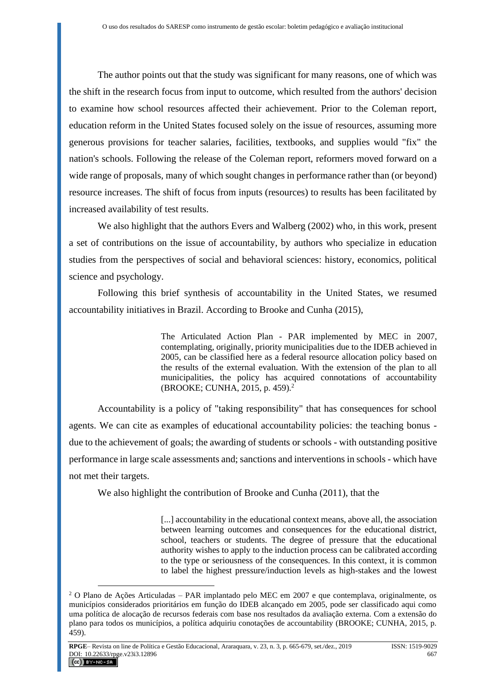The author points out that the study was significant for many reasons, one of which was the shift in the research focus from input to outcome, which resulted from the authors' decision to examine how school resources affected their achievement. Prior to the Coleman report, education reform in the United States focused solely on the issue of resources, assuming more generous provisions for teacher salaries, facilities, textbooks, and supplies would "fix" the nation's schools. Following the release of the Coleman report, reformers moved forward on a wide range of proposals, many of which sought changes in performance rather than (or beyond) resource increases. The shift of focus from inputs (resources) to results has been facilitated by increased availability of test results.

We also highlight that the authors Evers and Walberg (2002) who, in this work, present a set of contributions on the issue of accountability, by authors who specialize in education studies from the perspectives of social and behavioral sciences: history, economics, political science and psychology.

Following this brief synthesis of accountability in the United States, we resumed accountability initiatives in Brazil. According to Brooke and Cunha (2015),

> The Articulated Action Plan - PAR implemented by MEC in 2007, contemplating, originally, priority municipalities due to the IDEB achieved in 2005, can be classified here as a federal resource allocation policy based on the results of the external evaluation. With the extension of the plan to all municipalities, the policy has acquired connotations of accountability (BROOKE; CUNHA, 2015, p. 459).<sup>2</sup>

Accountability is a policy of "taking responsibility" that has consequences for school agents. We can cite as examples of educational accountability policies: the teaching bonus due to the achievement of goals; the awarding of students or schools - with outstanding positive performance in large scale assessments and; sanctions and interventions in schools - which have not met their targets.

We also highlight the contribution of Brooke and Cunha (2011), that the

[...] accountability in the educational context means, above all, the association between learning outcomes and consequences for the educational district, school, teachers or students. The degree of pressure that the educational authority wishes to apply to the induction process can be calibrated according to the type or seriousness of the consequences. In this context, it is common to label the highest pressure/induction levels as high-stakes and the lowest

 $2$  O Plano de Ações Articuladas – PAR implantado pelo MEC em 2007 e que contemplava, originalmente, os municípios considerados prioritários em função do IDEB alcançado em 2005, pode ser classificado aqui como uma política de alocação de recursos federais com base nos resultados da avaliação externa. Com a extensão do plano para todos os municípios, a política adquiriu conotações de accountability (BROOKE; CUNHA, 2015, p. 459).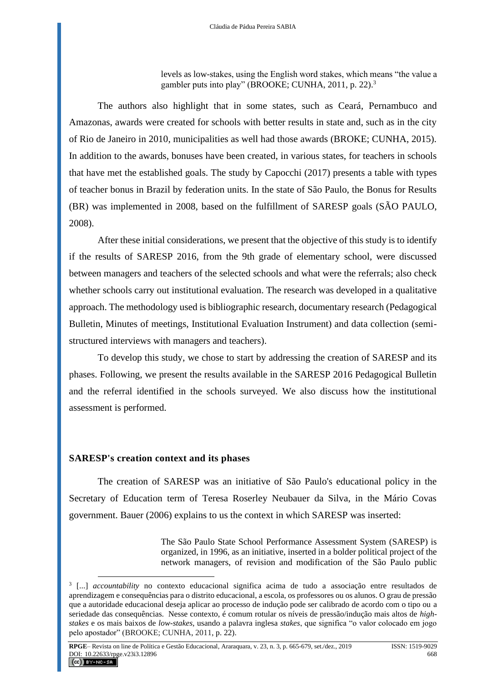levels as low-stakes, using the English word stakes, which means "the value a gambler puts into play" (BROOKE; CUNHA, 2011, p. 22).<sup>3</sup>

The authors also highlight that in some states, such as Ceará, Pernambuco and Amazonas, awards were created for schools with better results in state and, such as in the city of Rio de Janeiro in 2010, municipalities as well had those awards (BROKE; CUNHA, 2015). In addition to the awards, bonuses have been created, in various states, for teachers in schools that have met the established goals. The study by Capocchi (2017) presents a table with types of teacher bonus in Brazil by federation units. In the state of São Paulo, the Bonus for Results (BR) was implemented in 2008, based on the fulfillment of SARESP goals (SÃO PAULO, 2008).

After these initial considerations, we present that the objective of this study is to identify if the results of SARESP 2016, from the 9th grade of elementary school, were discussed between managers and teachers of the selected schools and what were the referrals; also check whether schools carry out institutional evaluation. The research was developed in a qualitative approach. The methodology used is bibliographic research, documentary research (Pedagogical Bulletin, Minutes of meetings, Institutional Evaluation Instrument) and data collection (semistructured interviews with managers and teachers).

To develop this study, we chose to start by addressing the creation of SARESP and its phases. Following, we present the results available in the SARESP 2016 Pedagogical Bulletin and the referral identified in the schools surveyed. We also discuss how the institutional assessment is performed.

### **SARESP's creation context and its phases**

The creation of SARESP was an initiative of São Paulo's educational policy in the Secretary of Education term of Teresa Roserley Neubauer da Silva, in the Mário Covas government. Bauer (2006) explains to us the context in which SARESP was inserted:

> The São Paulo State School Performance Assessment System (SARESP) is organized, in 1996, as an initiative, inserted in a bolder political project of the network managers, of revision and modification of the São Paulo public

<sup>3</sup> [...] *accountability* no contexto educacional significa acima de tudo a associação entre resultados de aprendizagem e consequências para o distrito educacional, a escola, os professores ou os alunos. O grau de pressão que a autoridade educacional deseja aplicar ao processo de indução pode ser calibrado de acordo com o tipo ou a seriedade das consequências. Nesse contexto, é comum rotular os níveis de pressão/indução mais altos de *highstakes* e os mais baixos de *low-stakes*, usando a palavra inglesa *stakes*, que significa "o valor colocado em jogo pelo apostador" (BROOKE; CUNHA, 2011, p. 22).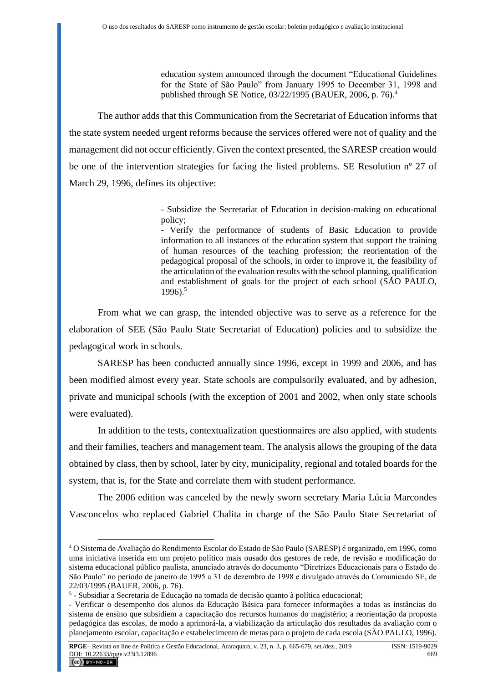education system announced through the document "Educational Guidelines for the State of São Paulo" from January 1995 to December 31, 1998 and published through SE Notice, 03/22/1995 (BAUER, 2006, p. 76).<sup>4</sup>

The author adds that this Communication from the Secretariat of Education informs that the state system needed urgent reforms because the services offered were not of quality and the management did not occur efficiently. Given the context presented, the SARESP creation would be one of the intervention strategies for facing the listed problems. SE Resolution nº 27 of March 29, 1996, defines its objective:

> - Subsidize the Secretariat of Education in decision-making on educational policy;

> - Verify the performance of students of Basic Education to provide information to all instances of the education system that support the training of human resources of the teaching profession; the reorientation of the pedagogical proposal of the schools, in order to improve it, the feasibility of the articulation of the evaluation results with the school planning, qualification and establishment of goals for the project of each school (SÃO PAULO,  $1996$ )<sup>5</sup>

From what we can grasp, the intended objective was to serve as a reference for the elaboration of SEE (São Paulo State Secretariat of Education) policies and to subsidize the pedagogical work in schools.

SARESP has been conducted annually since 1996, except in 1999 and 2006, and has been modified almost every year. State schools are compulsorily evaluated, and by adhesion, private and municipal schools (with the exception of 2001 and 2002, when only state schools were evaluated).

In addition to the tests, contextualization questionnaires are also applied, with students and their families, teachers and management team. The analysis allows the grouping of the data obtained by class, then by school, later by city, municipality, regional and totaled boards for the system, that is, for the State and correlate them with student performance.

The 2006 edition was canceled by the newly sworn secretary Maria Lúcia Marcondes Vasconcelos who replaced Gabriel Chalita in charge of the São Paulo State Secretariat of

<sup>4</sup> O Sistema de Avaliação do Rendimento Escolar do Estado de São Paulo (SARESP) é organizado, em 1996, como uma iniciativa inserida em um projeto político mais ousado dos gestores de rede, de revisão e modificação do sistema educacional público paulista, anunciado através do documento "Diretrizes Educacionais para o Estado de São Paulo" no período de janeiro de 1995 a 31 de dezembro de 1998 e divulgado através do Comunicado SE, de 22/03/1995 (BAUER, 2006, p. 76).

<sup>5</sup> - Subsidiar a Secretaria de Educação na tomada de decisão quanto à política educacional;

<sup>-</sup> Verificar o desempenho dos alunos da Educação Básica para fornecer informações a todas as instâncias do sistema de ensino que subsidiem a capacitação dos recursos humanos do magistério; a reorientação da proposta pedagógica das escolas, de modo a aprimorá-la, a viabilização da articulação dos resultados da avaliação com o planejamento escolar, capacitação e estabelecimento de metas para o projeto de cada escola (SÃO PAULO, 1996).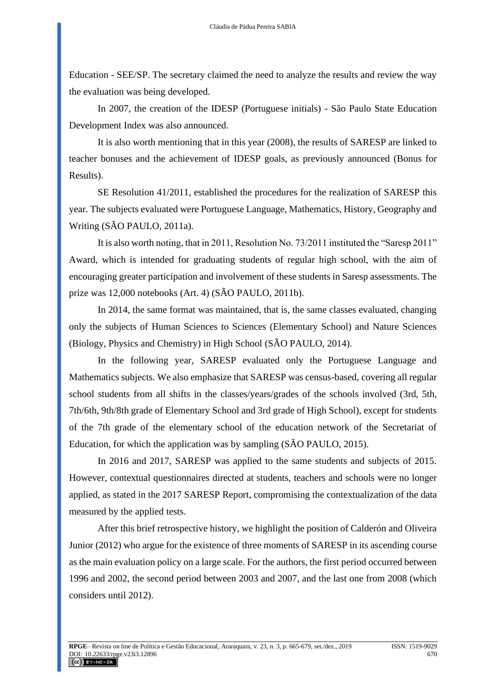Education - SEE/SP. The secretary claimed the need to analyze the results and review the way the evaluation was being developed.

In 2007, the creation of the IDESP (Portuguese initials) - São Paulo State Education Development Index was also announced.

It is also worth mentioning that in this year (2008), the results of SARESP are linked to teacher bonuses and the achievement of IDESP goals, as previously announced (Bonus for Results).

SE Resolution 41/2011, established the procedures for the realization of SARESP this year. The subjects evaluated were Portuguese Language, Mathematics, History, Geography and Writing (SÃO PAULO, 2011a).

It is also worth noting, that in 2011, Resolution No. 73/2011 instituted the "Saresp 2011" Award, which is intended for graduating students of regular high school, with the aim of encouraging greater participation and involvement of these students in Saresp assessments. The prize was 12,000 notebooks (Art. 4) (SÃO PAULO, 2011b).

In 2014, the same format was maintained, that is, the same classes evaluated, changing only the subjects of Human Sciences to Sciences (Elementary School) and Nature Sciences (Biology, Physics and Chemistry) in High School (SÃO PAULO, 2014).

In the following year, SARESP evaluated only the Portuguese Language and Mathematics subjects. We also emphasize that SARESP was census-based, covering all regular school students from all shifts in the classes/years/grades of the schools involved (3rd, 5th, 7th/6th, 9th/8th grade of Elementary School and 3rd grade of High School), except for students of the 7th grade of the elementary school of the education network of the Secretariat of Education, for which the application was by sampling (SÃO PAULO, 2015).

In 2016 and 2017, SARESP was applied to the same students and subjects of 2015. However, contextual questionnaires directed at students, teachers and schools were no longer applied, as stated in the 2017 SARESP Report, compromising the contextualization of the data measured by the applied tests.

After this brief retrospective history, we highlight the position of Calderón and Oliveira Junior (2012) who argue for the existence of three moments of SARESP in its ascending course as the main evaluation policy on a large scale. For the authors, the first period occurred between 1996 and 2002, the second period between 2003 and 2007, and the last one from 2008 (which considers until 2012).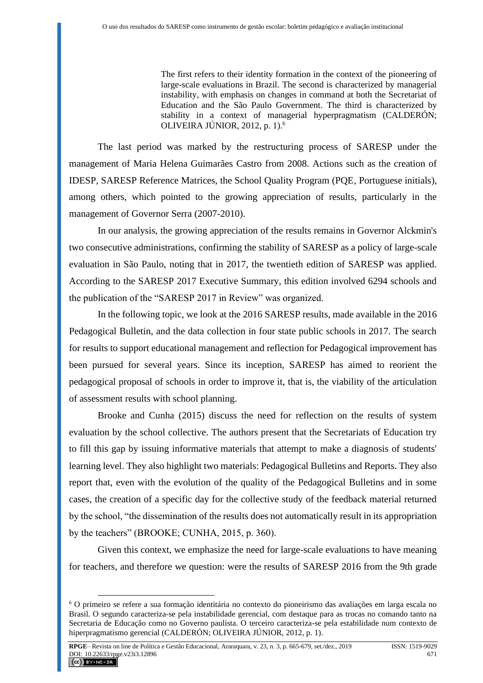The first refers to their identity formation in the context of the pioneering of large-scale evaluations in Brazil. The second is characterized by managerial instability, with emphasis on changes in command at both the Secretariat of Education and the São Paulo Government. The third is characterized by stability in a context of managerial hyperpragmatism (CALDERÓN; OLIVEIRA JÚNIOR, 2012, p. 1).<sup>6</sup>

The last period was marked by the restructuring process of SARESP under the management of Maria Helena Guimarães Castro from 2008. Actions such as the creation of IDESP, SARESP Reference Matrices, the School Quality Program (PQE, Portuguese initials), among others, which pointed to the growing appreciation of results, particularly in the management of Governor Serra (2007-2010).

In our analysis, the growing appreciation of the results remains in Governor Alckmin's two consecutive administrations, confirming the stability of SARESP as a policy of large-scale evaluation in São Paulo, noting that in 2017, the twentieth edition of SARESP was applied. According to the SARESP 2017 Executive Summary, this edition involved 6294 schools and the publication of the "SARESP 2017 in Review" was organized.

In the following topic, we look at the 2016 SARESP results, made available in the 2016 Pedagogical Bulletin, and the data collection in four state public schools in 2017. The search for results to support educational management and reflection for Pedagogical improvement has been pursued for several years. Since its inception, SARESP has aimed to reorient the pedagogical proposal of schools in order to improve it, that is, the viability of the articulation of assessment results with school planning.

Brooke and Cunha (2015) discuss the need for reflection on the results of system evaluation by the school collective. The authors present that the Secretariats of Education try to fill this gap by issuing informative materials that attempt to make a diagnosis of students' learning level. They also highlight two materials: Pedagogical Bulletins and Reports. They also report that, even with the evolution of the quality of the Pedagogical Bulletins and in some cases, the creation of a specific day for the collective study of the feedback material returned by the school, "the dissemination of the results does not automatically result in its appropriation by the teachers" (BROOKE; CUNHA, 2015, p. 360).

Given this context, we emphasize the need for large-scale evaluations to have meaning for teachers, and therefore we question: were the results of SARESP 2016 from the 9th grade

<sup>6</sup> O primeiro se refere a sua formação identitária no contexto do pioneirismo das avaliações em larga escala no Brasil. O segundo caracteriza-se pela instabilidade gerencial, com destaque para as trocas no comando tanto na Secretaria de Educação como no Governo paulista. O terceiro caracteriza-se pela estabilidade num contexto de hiperpragmatismo gerencial (CALDERÓN; OLIVEIRA JÚNIOR, 2012, p. 1).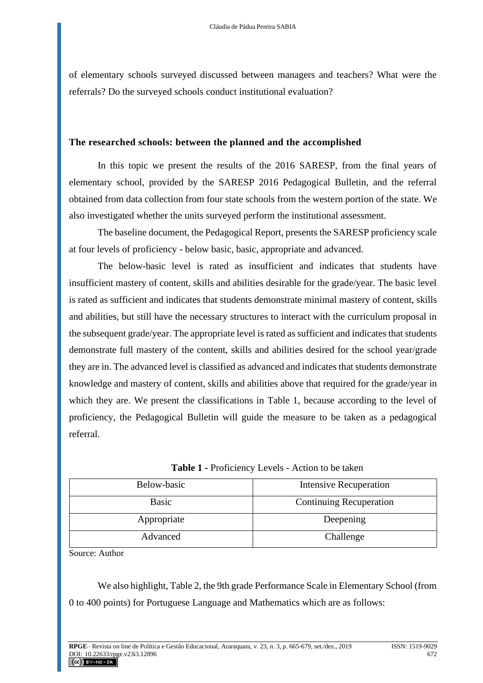of elementary schools surveyed discussed between managers and teachers? What were the referrals? Do the surveyed schools conduct institutional evaluation?

#### **The researched schools: between the planned and the accomplished**

In this topic we present the results of the 2016 SARESP, from the final years of elementary school, provided by the SARESP 2016 Pedagogical Bulletin, and the referral obtained from data collection from four state schools from the western portion of the state. We also investigated whether the units surveyed perform the institutional assessment.

The baseline document, the Pedagogical Report, presents the SARESP proficiency scale at four levels of proficiency - below basic, basic, appropriate and advanced.

The below-basic level is rated as insufficient and indicates that students have insufficient mastery of content, skills and abilities desirable for the grade/year. The basic level is rated as sufficient and indicates that students demonstrate minimal mastery of content, skills and abilities, but still have the necessary structures to interact with the curriculum proposal in the subsequent grade/year. The appropriate level is rated as sufficient and indicates that students demonstrate full mastery of the content, skills and abilities desired for the school year/grade they are in. The advanced level is classified as advanced and indicates that students demonstrate knowledge and mastery of content, skills and abilities above that required for the grade/year in which they are. We present the classifications in Table 1, because according to the level of proficiency, the Pedagogical Bulletin will guide the measure to be taken as a pedagogical referral.

| Below-basic  | <b>Intensive Recuperation</b>  |  |
|--------------|--------------------------------|--|
| <b>Basic</b> | <b>Continuing Recuperation</b> |  |
| Appropriate  | Deepening                      |  |
| Advanced     | Challenge                      |  |

**Table 1 -** Proficiency Levels - Action to be taken

Source: Author

We also highlight, Table 2, the 9th grade Performance Scale in Elementary School (from 0 to 400 points) for Portuguese Language and Mathematics which are as follows: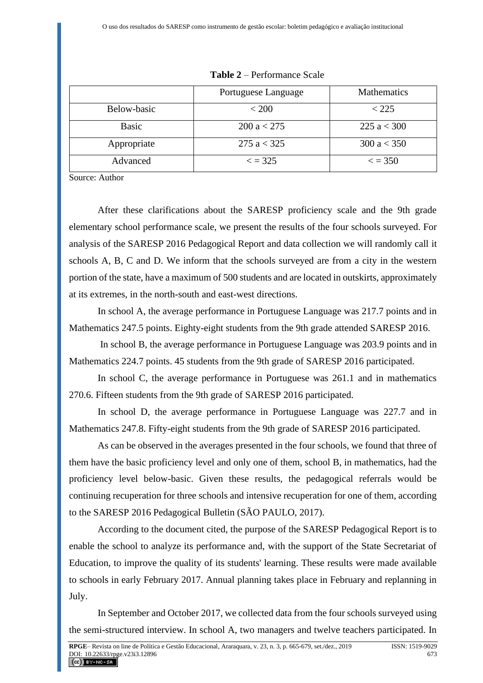|              | Portuguese Language | <b>Mathematics</b> |
|--------------|---------------------|--------------------|
| Below-basic  | < 200               | < 225              |
| <b>Basic</b> | 200 a < 275         | 225 $a < 300$      |
| Appropriate  | 275 $a < 325$       | 300 a < 350        |
| Advanced     | $\epsilon$ = 325    | $\epsilon$ = 350   |

**Table 2** – Performance Scale

Source: Author

After these clarifications about the SARESP proficiency scale and the 9th grade elementary school performance scale, we present the results of the four schools surveyed. For analysis of the SARESP 2016 Pedagogical Report and data collection we will randomly call it schools A, B, C and D. We inform that the schools surveyed are from a city in the western portion of the state, have a maximum of 500 students and are located in outskirts, approximately at its extremes, in the north-south and east-west directions.

In school A, the average performance in Portuguese Language was 217.7 points and in Mathematics 247.5 points. Eighty-eight students from the 9th grade attended SARESP 2016.

In school B, the average performance in Portuguese Language was 203.9 points and in Mathematics 224.7 points. 45 students from the 9th grade of SARESP 2016 participated.

In school C, the average performance in Portuguese was 261.1 and in mathematics 270.6. Fifteen students from the 9th grade of SARESP 2016 participated.

In school D, the average performance in Portuguese Language was 227.7 and in Mathematics 247.8. Fifty-eight students from the 9th grade of SARESP 2016 participated.

As can be observed in the averages presented in the four schools, we found that three of them have the basic proficiency level and only one of them, school B, in mathematics, had the proficiency level below-basic. Given these results, the pedagogical referrals would be continuing recuperation for three schools and intensive recuperation for one of them, according to the SARESP 2016 Pedagogical Bulletin (SÃO PAULO, 2017).

According to the document cited, the purpose of the SARESP Pedagogical Report is to enable the school to analyze its performance and, with the support of the State Secretariat of Education, to improve the quality of its students' learning. These results were made available to schools in early February 2017. Annual planning takes place in February and replanning in July.

In September and October 2017, we collected data from the four schools surveyed using the semi-structured interview. In school A, two managers and twelve teachers participated. In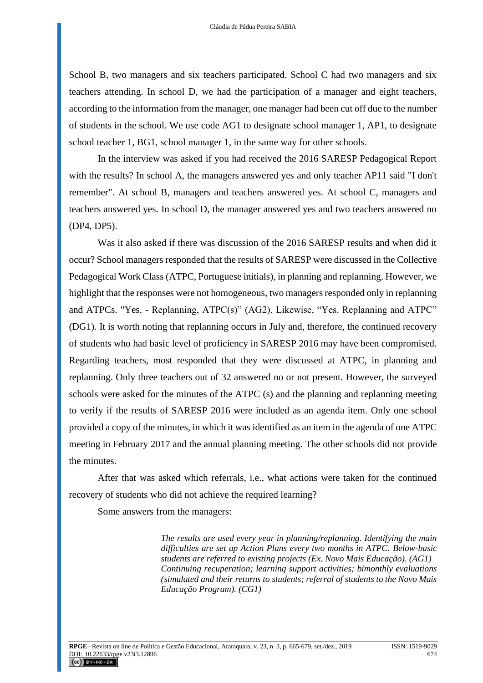School B, two managers and six teachers participated. School C had two managers and six teachers attending. In school D, we had the participation of a manager and eight teachers, according to the information from the manager, one manager had been cut off due to the number of students in the school. We use code AG1 to designate school manager 1, AP1, to designate school teacher 1, BG1, school manager 1, in the same way for other schools.

In the interview was asked if you had received the 2016 SARESP Pedagogical Report with the results? In school A, the managers answered yes and only teacher AP11 said "I don't remember". At school B, managers and teachers answered yes. At school C, managers and teachers answered yes. In school D, the manager answered yes and two teachers answered no (DP4, DP5).

Was it also asked if there was discussion of the 2016 SARESP results and when did it occur? School managers responded that the results of SARESP were discussed in the Collective Pedagogical Work Class (ATPC, Portuguese initials), in planning and replanning. However, we highlight that the responses were not homogeneous, two managers responded only in replanning and ATPCs. "Yes. - Replanning, ATPC(s)" (AG2). Likewise, "Yes. Replanning and ATPC" (DG1). It is worth noting that replanning occurs in July and, therefore, the continued recovery of students who had basic level of proficiency in SARESP 2016 may have been compromised. Regarding teachers, most responded that they were discussed at ATPC, in planning and replanning. Only three teachers out of 32 answered no or not present. However, the surveyed schools were asked for the minutes of the ATPC (s) and the planning and replanning meeting to verify if the results of SARESP 2016 were included as an agenda item. Only one school provided a copy of the minutes, in which it was identified as an item in the agenda of one ATPC meeting in February 2017 and the annual planning meeting. The other schools did not provide the minutes.

After that was asked which referrals, i.e., what actions were taken for the continued recovery of students who did not achieve the required learning?

Some answers from the managers:

*The results are used every year in planning/replanning. Identifying the main difficulties are set up Action Plans every two months in ATPC. Below-basic students are referred to existing projects (Ex. Novo Mais Educação). (AG1) Continuing recuperation; learning support activities; bimonthly evaluations (simulated and their returns to students; referral of students to the Novo Mais Educação Program). (CG1)*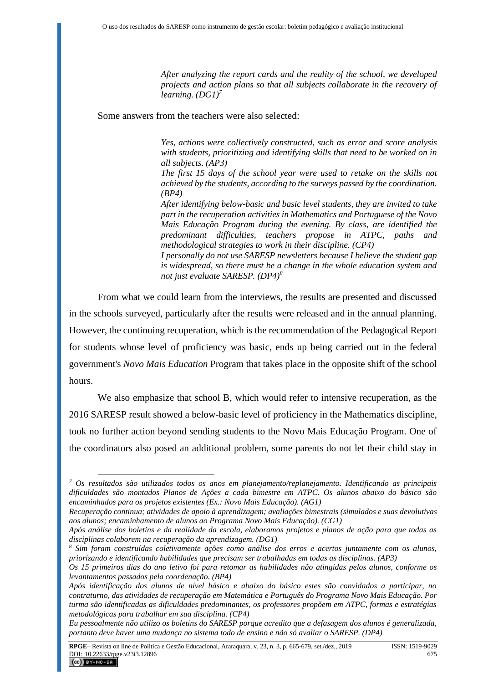*After analyzing the report cards and the reality of the school, we developed projects and action plans so that all subjects collaborate in the recovery of learning. (DG1)<sup>7</sup>*

Some answers from the teachers were also selected:

*Yes, actions were collectively constructed, such as error and score analysis with students, prioritizing and identifying skills that need to be worked on in all subjects. (AP3)*

*The first 15 days of the school year were used to retake on the skills not achieved by the students, according to the surveys passed by the coordination. (BP4)*

*After identifying below-basic and basic level students, they are invited to take part in the recuperation activities in Mathematics and Portuguese of the Novo Mais Educação Program during the evening. By class, are identified the predominant difficulties, teachers propose in ATPC, paths and methodological strategies to work in their discipline. (CP4)*

*I personally do not use SARESP newsletters because I believe the student gap is widespread, so there must be a change in the whole education system and not just evaluate SARESP. (DP4)<sup>8</sup>*

From what we could learn from the interviews, the results are presented and discussed in the schools surveyed, particularly after the results were released and in the annual planning. However, the continuing recuperation, which is the recommendation of the Pedagogical Report for students whose level of proficiency was basic, ends up being carried out in the federal government's *Novo Mais Education* Program that takes place in the opposite shift of the school hours.

We also emphasize that school B, which would refer to intensive recuperation, as the 2016 SARESP result showed a below-basic level of proficiency in the Mathematics discipline, took no further action beyond sending students to the Novo Mais Educação Program. One of the coordinators also posed an additional problem, some parents do not let their child stay in

*<sup>7</sup> Os resultados são utilizados todos os anos em planejamento/replanejamento. Identificando as principais dificuldades são montados Planos de Ações a cada bimestre em ATPC. Os alunos abaixo do básico são encaminhados para os projetos existentes (Ex.: Novo Mais Educação). (AG1)*

*Recuperação continua; atividades de apoio à aprendizagem; avaliações bimestrais (simulados e suas devolutivas aos alunos; encaminhamento de alunos ao Programa Novo Mais Educação). (CG1)*

*Após análise dos boletins e da realidade da escola, elaboramos projetos e planos de ação para que todas as disciplinas colaborem na recuperação da aprendizagem. (DG1)*

*<sup>8</sup> Sim foram construídas coletivamente ações como análise dos erros e acertos juntamente com os alunos, priorizando e identificando habilidades que precisam ser trabalhadas em todas as disciplinas. (AP3)*

*Os 15 primeiros dias do ano letivo foi para retomar as habilidades não atingidas pelos alunos, conforme os levantamentos passados pela coordenação. (BP4)*

*Após identificação dos alunos de nível básico e abaixo do básico estes são convidados a participar, no contraturno, das atividades de recuperação em Matemática e Português do Programa Novo Mais Educação. Por turma são identificadas as dificuldades predominantes, os professores propõem em ATPC, formas e estratégias metodológicas para trabalhar em sua disciplina. (CP4)*

*Eu pessoalmente não utilizo os boletins do SARESP porque acredito que a defasagem dos alunos é generalizada, portanto deve haver uma mudança no sistema todo de ensino e não só avaliar o SARESP. (DP4)*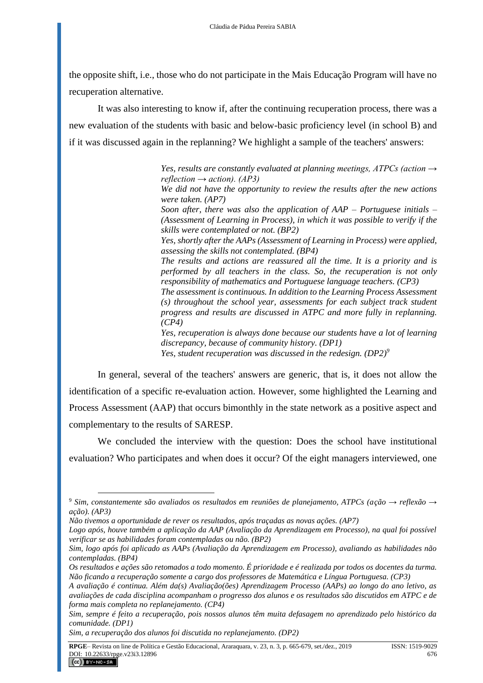the opposite shift, i.e., those who do not participate in the Mais Educação Program will have no recuperation alternative.

It was also interesting to know if, after the continuing recuperation process, there was a new evaluation of the students with basic and below-basic proficiency level (in school B) and if it was discussed again in the replanning? We highlight a sample of the teachers' answers:

> *Yes, results are constantly evaluated at planning meetings, ATPCs (action → reflection → action). (AP3)*

> *We did not have the opportunity to review the results after the new actions were taken. (AP7)*

> *Soon after, there was also the application of AAP – Portuguese initials – (Assessment of Learning in Process), in which it was possible to verify if the skills were contemplated or not. (BP2)*

> *Yes, shortly after the AAPs (Assessment of Learning in Process) were applied, assessing the skills not contemplated. (BP4)*

> *The results and actions are reassured all the time. It is a priority and is performed by all teachers in the class. So, the recuperation is not only responsibility of mathematics and Portuguese language teachers. (CP3)*

> *The assessment is continuous. In addition to the Learning Process Assessment (s) throughout the school year, assessments for each subject track student progress and results are discussed in ATPC and more fully in replanning. (CP4)*

> *Yes, recuperation is always done because our students have a lot of learning discrepancy, because of community history. (DP1) Yes, student recuperation was discussed in the redesign. (DP2)<sup>9</sup>*

In general, several of the teachers' answers are generic, that is, it does not allow the identification of a specific re-evaluation action. However, some highlighted the Learning and Process Assessment (AAP) that occurs bimonthly in the state network as a positive aspect and complementary to the results of SARESP.

We concluded the interview with the question: Does the school have institutional evaluation? Who participates and when does it occur? Of the eight managers interviewed, one

<sup>9</sup> *Sim, constantemente são avaliados os resultados em reuniões de planejamento, ATPCs (ação → reflexão → ação). (AP3)*

*Não tivemos a oportunidade de rever os resultados, após traçadas as novas ações. (AP7)*

*Logo após, houve também a aplicação da AAP (Avaliação da Aprendizagem em Processo), na qual foi possível verificar se as habilidades foram contempladas ou não. (BP2)*

*Sim, logo após foi aplicado as AAPs (Avaliação da Aprendizagem em Processo), avaliando as habilidades não contempladas. (BP4)*

*Os resultados e ações são retomados a todo momento. É prioridade e é realizada por todos os docentes da turma. Não ficando a recuperação somente a cargo dos professores de Matemática e Língua Portuguesa. (CP3)*

*A avaliação é continua. Além da(s) Avaliação(ões) Aprendizagem Processo (AAPs) ao longo do ano letivo, as avaliações de cada disciplina acompanham o progresso dos alunos e os resultados são discutidos em ATPC e de forma mais completa no replanejamento. (CP4)*

*Sim, sempre é feito a recuperação, pois nossos alunos têm muita defasagem no aprendizado pelo histórico da comunidade. (DP1)*

*Sim, a recuperação dos alunos foi discutida no replanejamento. (DP2)*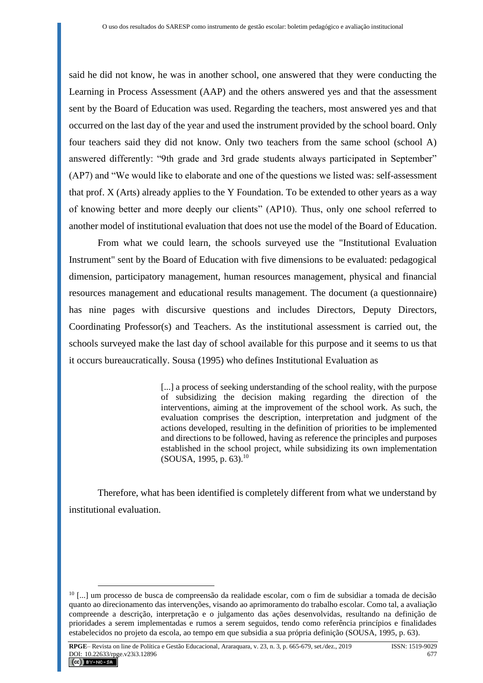said he did not know, he was in another school, one answered that they were conducting the Learning in Process Assessment (AAP) and the others answered yes and that the assessment sent by the Board of Education was used. Regarding the teachers, most answered yes and that occurred on the last day of the year and used the instrument provided by the school board. Only four teachers said they did not know. Only two teachers from the same school (school A) answered differently: "9th grade and 3rd grade students always participated in September" (AP7) and "We would like to elaborate and one of the questions we listed was: self-assessment that prof. X (Arts) already applies to the Y Foundation. To be extended to other years as a way of knowing better and more deeply our clients" (AP10). Thus, only one school referred to another model of institutional evaluation that does not use the model of the Board of Education.

From what we could learn, the schools surveyed use the "Institutional Evaluation Instrument" sent by the Board of Education with five dimensions to be evaluated: pedagogical dimension, participatory management, human resources management, physical and financial resources management and educational results management. The document (a questionnaire) has nine pages with discursive questions and includes Directors, Deputy Directors, Coordinating Professor(s) and Teachers. As the institutional assessment is carried out, the schools surveyed make the last day of school available for this purpose and it seems to us that it occurs bureaucratically. Sousa (1995) who defines Institutional Evaluation as

> [...] a process of seeking understanding of the school reality, with the purpose of subsidizing the decision making regarding the direction of the interventions, aiming at the improvement of the school work. As such, the evaluation comprises the description, interpretation and judgment of the actions developed, resulting in the definition of priorities to be implemented and directions to be followed, having as reference the principles and purposes established in the school project, while subsidizing its own implementation (SOUSA, 1995, p. 63).<sup>10</sup>

Therefore, what has been identified is completely different from what we understand by institutional evaluation.

<sup>10</sup> [...] um processo de busca de compreensão da realidade escolar, com o fim de subsidiar a tomada de decisão quanto ao direcionamento das intervenções, visando ao aprimoramento do trabalho escolar. Como tal, a avaliação compreende a descrição, interpretação e o julgamento das ações desenvolvidas, resultando na definição de prioridades a serem implementadas e rumos a serem seguidos, tendo como referência princípios e finalidades estabelecidos no projeto da escola, ao tempo em que subsidia a sua própria definição (SOUSA, 1995, p. 63).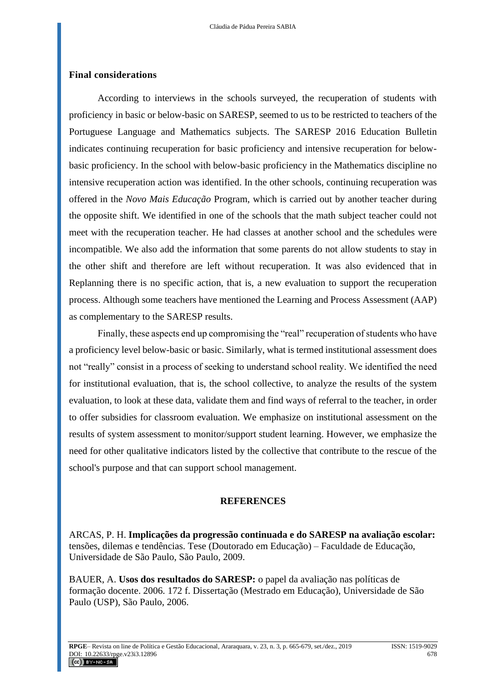#### **Final considerations**

According to interviews in the schools surveyed, the recuperation of students with proficiency in basic or below-basic on SARESP, seemed to us to be restricted to teachers of the Portuguese Language and Mathematics subjects. The SARESP 2016 Education Bulletin indicates continuing recuperation for basic proficiency and intensive recuperation for belowbasic proficiency. In the school with below-basic proficiency in the Mathematics discipline no intensive recuperation action was identified. In the other schools, continuing recuperation was offered in the *Novo Mais Educação* Program, which is carried out by another teacher during the opposite shift. We identified in one of the schools that the math subject teacher could not meet with the recuperation teacher. He had classes at another school and the schedules were incompatible. We also add the information that some parents do not allow students to stay in the other shift and therefore are left without recuperation. It was also evidenced that in Replanning there is no specific action, that is, a new evaluation to support the recuperation process. Although some teachers have mentioned the Learning and Process Assessment (AAP) as complementary to the SARESP results.

Finally, these aspects end up compromising the "real" recuperation of students who have a proficiency level below-basic or basic. Similarly, what is termed institutional assessment does not "really" consist in a process of seeking to understand school reality. We identified the need for institutional evaluation, that is, the school collective, to analyze the results of the system evaluation, to look at these data, validate them and find ways of referral to the teacher, in order to offer subsidies for classroom evaluation. We emphasize on institutional assessment on the results of system assessment to monitor/support student learning. However, we emphasize the need for other qualitative indicators listed by the collective that contribute to the rescue of the school's purpose and that can support school management.

#### **REFERENCES**

ARCAS, P. H. **Implicações da progressão continuada e do SARESP na avaliação escolar:**  tensões, dilemas e tendências. Tese (Doutorado em Educação) – Faculdade de Educação, Universidade de São Paulo, São Paulo, 2009.

BAUER, A. **Usos dos resultados do SARESP:** o papel da avaliação nas políticas de formação docente. 2006. 172 f. Dissertação (Mestrado em Educação), Universidade de São Paulo (USP), São Paulo, 2006.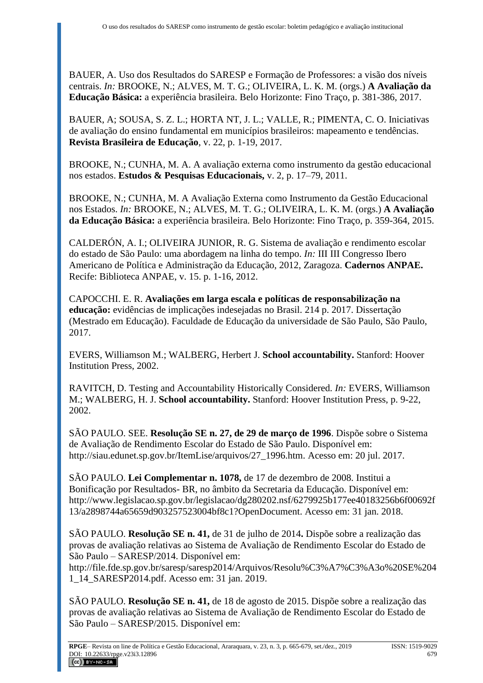BAUER, A. Uso dos Resultados do SARESP e Formação de Professores: a visão dos níveis centrais. *In:* BROOKE, N.; ALVES, M. T. G.; OLIVEIRA, L. K. M. (orgs.) **A Avaliação da Educação Básica:** a experiência brasileira. Belo Horizonte: Fino Traço, p. 381-386, 2017.

BAUER, A; [SOUSA,](http://lattes.cnpq.br/1379347820080442) S. Z. L.; [HORTA](http://lattes.cnpq.br/1379347820080442) NT, J. L.; [VALLE,](http://lattes.cnpq.br/1379347820080442) R.; PIMENTA, C. O. Iniciativas de avaliação do ensino fundamental em municípios brasileiros: mapeamento e tendências. **Revista Brasileira de Educação**, v. 22, p. 1-19, 2017.

BROOKE, N.; CUNHA, M. A. A avaliação externa como instrumento da gestão educacional nos estados. **Estudos & Pesquisas Educacionais,** v. 2, p. 17–79, 2011.

BROOKE, N.; CUNHA, M. A Avaliação Externa como Instrumento da Gestão Educacional nos Estados. *In:* BROOKE, N.; ALVES, M. T. G.; OLIVEIRA, L. K. M. (orgs.) **A Avaliação da Educação Básica:** a experiência brasileira. Belo Horizonte: Fino Traço, p. 359-364, 2015.

CALDERÓN, A. I.; OLIVEIRA JUNIOR, R. G. Sistema de avaliação e rendimento escolar do estado de São Paulo: uma abordagem na linha do tempo. *In:* III III Congresso Ibero Americano de Política e Administração da Educação, 2012, Zaragoza. **Cadernos ANPAE.** Recife: Biblioteca ANPAE, v. 15. p. 1-16, 2012.

CAPOCCHI. E. R. **Avaliações em larga escala e políticas de responsabilização na educação:** evidências de implicações indesejadas no Brasil. 214 p. 2017. Dissertação (Mestrado em Educação). Faculdade de Educação da universidade de São Paulo, São Paulo, 2017.

EVERS, Williamson M.; WALBERG, Herbert J. **School accountability.** Stanford: Hoover Institution Press, 2002.

RAVITCH, D. Testing and Accountability Historically Considered. *In:* EVERS, Williamson M.; WALBERG, H. J. **School accountability.** Stanford: Hoover Institution Press, p. 9-22, 2002.

SÃO PAULO. SEE. **Resolução SE n. 27, de 29 de março de 1996**. Dispõe sobre o Sistema de Avaliação de Rendimento Escolar do Estado de São Paulo. Disponível em: http://siau.edunet.sp.gov.br/ItemLise/arquivos/27\_1996.htm. Acesso em: 20 jul. 2017.

SÃO PAULO. **Lei Complementar n. 1078,** de 17 de dezembro de 2008. Institui a Bonificação por Resultados- BR, no âmbito da Secretaria da Educação. Disponível em: [http://www.legislacao.sp.gov.br/legislacao/dg280202.nsf/6279925b177ee40183256b6f00692f](http://www.legislacao.sp.gov.br/legislacao/dg280202.nsf/6279925b177ee40183256b6f00692f13/a2898744a65659d903257523004bf8c1?OpenDocument) [13/a2898744a65659d903257523004bf8c1?OpenDocument.](http://www.legislacao.sp.gov.br/legislacao/dg280202.nsf/6279925b177ee40183256b6f00692f13/a2898744a65659d903257523004bf8c1?OpenDocument) Acesso em: 31 jan. 2018.

SÃO PAULO. **Resolução SE n. 41,** de 31 de julho de 2014**.** Dispõe sobre a realização das provas de avaliação relativas ao Sistema de Avaliação de Rendimento Escolar do Estado de São Paulo – SARESP/2014. Disponível em:

[http://file.fde.sp.gov.br/saresp/saresp2014/Arquivos/Resolu%C3%A7%C3%A3o%20SE%204](http://file.fde.sp.gov.br/saresp/saresp2014/Arquivos/Resolu%C3%A7%C3%A3o%20SE%2041_14_SARESP2014.pdf) [1\\_14\\_SARESP2014.pdf.](http://file.fde.sp.gov.br/saresp/saresp2014/Arquivos/Resolu%C3%A7%C3%A3o%20SE%2041_14_SARESP2014.pdf) Acesso em: 31 jan. 2019.

SÃO PAULO. **Resolução SE n. 41,** de 18 de agosto de 2015. Dispõe sobre a realização das provas de avaliação relativas ao Sistema de Avaliação de Rendimento Escolar do Estado de São Paulo – SARESP/2015. Disponível em: